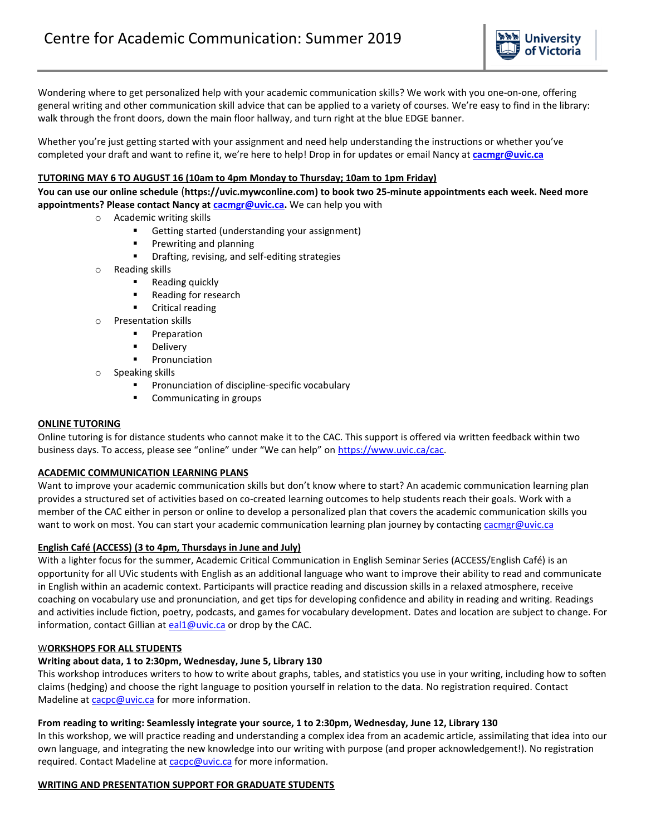

Wondering where to get personalized help with your academic communication skills? We work with you one-on-one, offering general writing and other communication skill advice that can be applied to a variety of courses. We're easy to find in the library: walk through the front doors, down the main floor hallway, and turn right at the blue EDGE banner.

Whether you're just getting started with your assignment and need help understanding the instructions or whether you've completed your draft and want to refine it, we're here to help! Drop in for updates or email Nancy at **[cacmgr@uvic.ca](mailto:cacmgr@uvic.ca)**

# **TUTORING MAY 6 TO AUGUST 16 (10am to 4pm Monday to Thursday; 10am to 1pm Friday)**

**You can use our online schedule** (**https://uvic.mywconline.com) to book two 25-minute appointments each week. Need more appointments? Please contact Nancy at [cacmgr@uvic.ca.](mailto:cacmgr@uvic.ca)** We can help you with

- o Academic writing skills
	- Getting started (understanding your assignment)
	- **Prewriting and planning**
	- **Phing**, revising, and self-editing strategies
- o Reading skills
	- Reading quickly
	- **Reading for research**
	- **•** Critical reading
- o Presentation skills
	- **Preparation**
	- **Delivery**
	- **Pronunciation**
- o Speaking skills
	- Pronunciation of discipline-specific vocabulary
	- **•** Communicating in groups

### **ONLINE TUTORING**

Online tutoring is for distance students who cannot make it to the CAC. This support is offered via written feedback within two business days. To access, please see "online" under "We can help" on [https://www.uvic.ca/cac.](https://www.uvic.ca/cac)

### **ACADEMIC COMMUNICATION LEARNING PLANS**

Want to improve your academic communication skills but don't know where to start? An academic communication learning plan provides a structured set of activities based on co-created learning outcomes to help students reach their goals. Work with a member of the CAC either in person or online to develop a personalized plan that covers the academic communication skills you want to work on most. You can start your academic communication learning plan journey by contacting [cacmgr@uvic.ca](mailto:cacmgr@uvic.ca)

### **English Café (ACCESS) (3 to 4pm, Thursdays in June and July)**

With a lighter focus for the summer, Academic Critical Communication in English Seminar Series (ACCESS/English Café) is an opportunity for all UVic students with English as an additional language who want to improve their ability to read and communicate in English within an academic context. Participants will practice reading and discussion skills in a relaxed atmosphere, receive coaching on vocabulary use and pronunciation, and get tips for developing confidence and ability in reading and writing. Readings and activities include fiction, poetry, podcasts, and games for vocabulary development. Dates and location are subject to change. For information, contact Gillian at [eal1@uvic.ca](mailto:eal1@uvic.ca) or drop by the CAC.

### W**ORKSHOPS FOR ALL STUDENTS**

### **Writing about data, 1 to 2:30pm, Wednesday, June 5, Library 130**

This workshop introduces writers to how to write about graphs, tables, and statistics you use in your writing, including how to soften claims (hedging) and choose the right language to position yourself in relation to the data. No registration required. Contact Madeline at [cacpc@uvic.ca](mailto:cacpc@uvic.ca) for more information.

#### **From reading to writing: Seamlessly integrate your source, 1 to 2:30pm, Wednesday, June 12, Library 130**

In this workshop, we will practice reading and understanding a complex idea from an academic article, assimilating that idea into our own language, and integrating the new knowledge into our writing with purpose (and proper acknowledgement!). No registration required. Contact Madeline a[t cacpc@uvic.ca](mailto:cacpc@uvic.ca) for more information.

#### **WRITING AND PRESENTATION SUPPORT FOR GRADUATE STUDENTS**